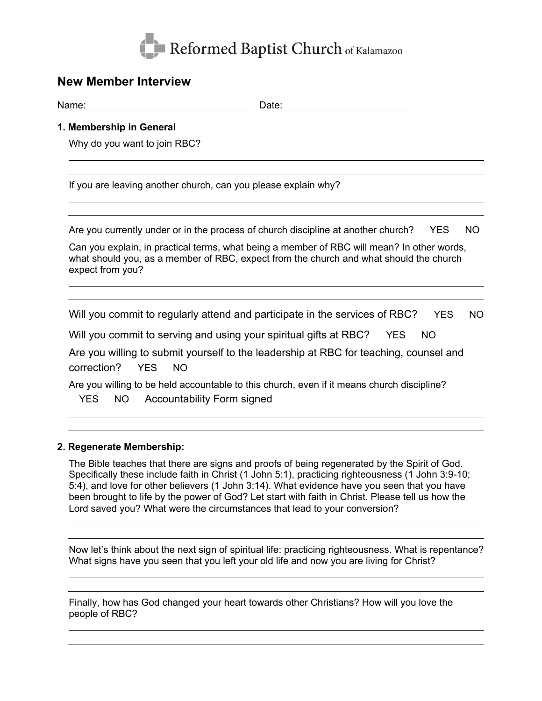

# **New Member Interview**

Name: Name: Name: Name: Name: Name: Name: Name: Name: Name: Name: Name: Name: Name: Name: Name: Name: Name: Name: Name: Name: Name: Name: Name: Name: Name: Name: Name: Name: Name: Name: Name: Name: Name: Name: Name: Name:

## **1. Membership in General**

Why do you want to join RBC?

If you are leaving another church, can you please explain why?

Are you currently under or in the process of church discipline at another church? YES NO

Can you explain, in practical terms, what being a member of RBC will mean? In other words, what should you, as a member of RBC, expect from the church and what should the church expect from you?

Will you commit to regularly attend and participate in the services of RBC? YES NO

Will you commit to serving and using your spiritual gifts at RBC? YES NO

Are you willing to submit yourself to the leadership at RBC for teaching, counsel and correction? YES NO

Are you willing to be held accountable to this church, even if it means church discipline? YES NO Accountability Form signed

## **2. Regenerate Membership:**

The Bible teaches that there are signs and proofs of being regenerated by the Spirit of God. Specifically these include faith in Christ (1 John 5:1), practicing righteousness (1 John 3:9-10; 5:4), and love for other believers (1 John 3:14). What evidence have you seen that you have been brought to life by the power of God? Let start with faith in Christ. Please tell us how the Lord saved you? What were the circumstances that lead to your conversion?

Now let's think about the next sign of spiritual life: practicing righteousness. What is repentance? What signs have you seen that you left your old life and now you are living for Christ?

Finally, how has God changed your heart towards other Christians? How will you love the people of RBC?